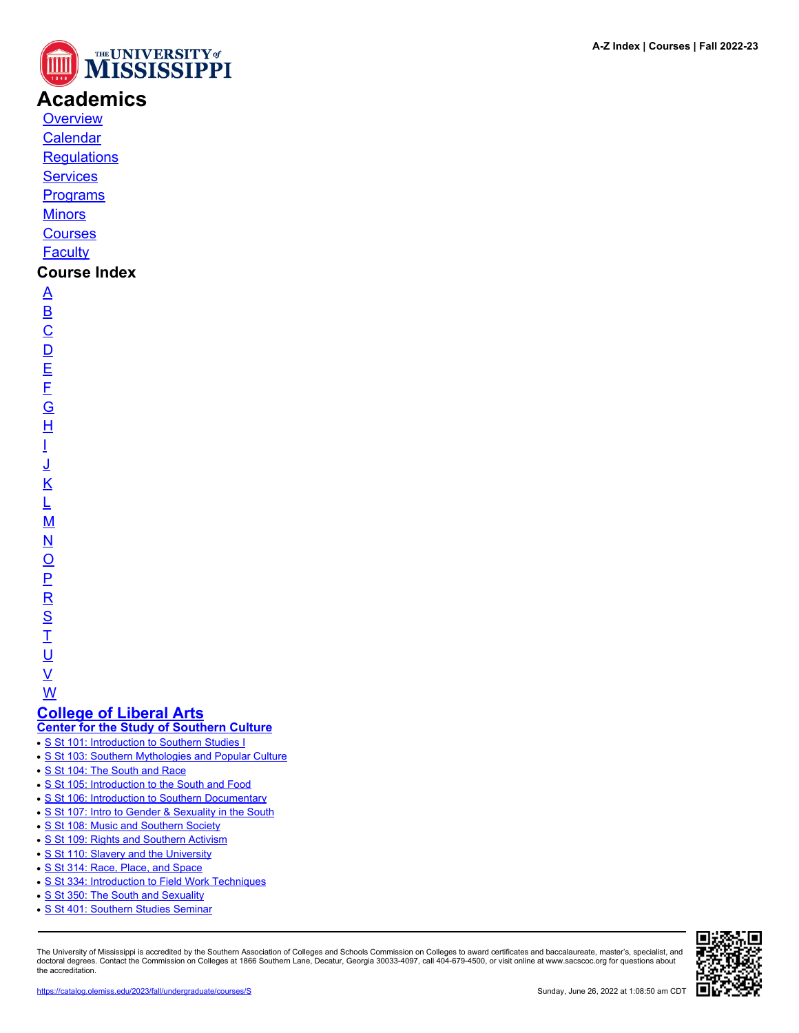

## **Academics**

**[Overview](https://catalog.olemiss.edu/academics)** [Calendar](https://catalog.olemiss.edu/academics/calendar)

**[Regulations](https://catalog.olemiss.edu/academics/regulations)** 

**[Services](https://catalog.olemiss.edu/academics/services)** 

**[Programs](https://catalog.olemiss.edu/programs)** 

**[Minors](https://catalog.olemiss.edu/minors)** 

**[Courses](https://catalog.olemiss.edu/courses)** 

**[Faculty](https://catalog.olemiss.edu/faculty)** 

## **Course Index**

[A](https://catalog.olemiss.edu/courses/A) [B](https://catalog.olemiss.edu/courses/B)  $\overline{C}$  $\overline{C}$  $\overline{C}$  $\overline{D}$  $\overline{D}$  $\overline{D}$ [E](https://catalog.olemiss.edu/courses/E) [F](https://catalog.olemiss.edu/courses/F) [G](https://catalog.olemiss.edu/courses/G) [H](https://catalog.olemiss.edu/courses/H) [I](https://catalog.olemiss.edu/courses/I) [J](https://catalog.olemiss.edu/courses/J) [K](https://catalog.olemiss.edu/courses/K) [L](https://catalog.olemiss.edu/courses/L) [M](https://catalog.olemiss.edu/courses/M) [N](https://catalog.olemiss.edu/courses/N)  $\overline{\mathsf{O}}$  $\overline{\mathsf{O}}$  $\overline{\mathsf{O}}$ [P](https://catalog.olemiss.edu/courses/P)  $\overline{\mathsf{R}}$  $\overline{\mathsf{R}}$  $\overline{\mathsf{R}}$ [S](https://catalog.olemiss.edu/courses/S)  $\overline{1}$ <u>ប</u>  $\underline{\mathsf{v}}$ 

[W](https://catalog.olemiss.edu/courses/W)

# **[College of Liberal Arts](https://catalog.olemiss.edu/liberal-arts)**

**[Center for the Study of Southern Culture](https://catalog.olemiss.edu/liberal-arts/center-for-the-study-southern-culture)**

- [S St 101: Introduction to Southern Studies I](https://catalog.olemiss.edu/liberal-arts/center-for-the-study-southern-culture/s-st-101)
- [S St 103: Southern Mythologies and Popular Culture](https://catalog.olemiss.edu/liberal-arts/center-for-the-study-southern-culture/s-st-103)
- [S St 104: The South and Race](https://catalog.olemiss.edu/liberal-arts/center-for-the-study-southern-culture/s-st-104)
- [S St 105: Introduction to the South and Food](https://catalog.olemiss.edu/liberal-arts/center-for-the-study-southern-culture/s-st-105)
- [S St 106: Introduction to Southern Documentary](https://catalog.olemiss.edu/liberal-arts/center-for-the-study-southern-culture/s-st-106)
- [S St 107: Intro to Gender & Sexuality in the South](https://catalog.olemiss.edu/liberal-arts/center-for-the-study-southern-culture/s-st-107)
- [S St 108: Music and Southern Society](https://catalog.olemiss.edu/liberal-arts/center-for-the-study-southern-culture/s-st-108)
- [S St 109: Rights and Southern Activism](https://catalog.olemiss.edu/liberal-arts/center-for-the-study-southern-culture/s-st-109)
- [S St 110: Slavery and the University](https://catalog.olemiss.edu/liberal-arts/center-for-the-study-southern-culture/s-st-110)
- [S St 314: Race, Place, and Space](https://catalog.olemiss.edu/liberal-arts/center-for-the-study-southern-culture/s-st-314)
- [S St 334: Introduction to Field Work Techniques](https://catalog.olemiss.edu/liberal-arts/center-for-the-study-southern-culture/s-st-334)
- [S St 350: The South and Sexuality](https://catalog.olemiss.edu/liberal-arts/center-for-the-study-southern-culture/s-st-350)
- [S St 401: Southern Studies Seminar](https://catalog.olemiss.edu/liberal-arts/center-for-the-study-southern-culture/s-st-401)

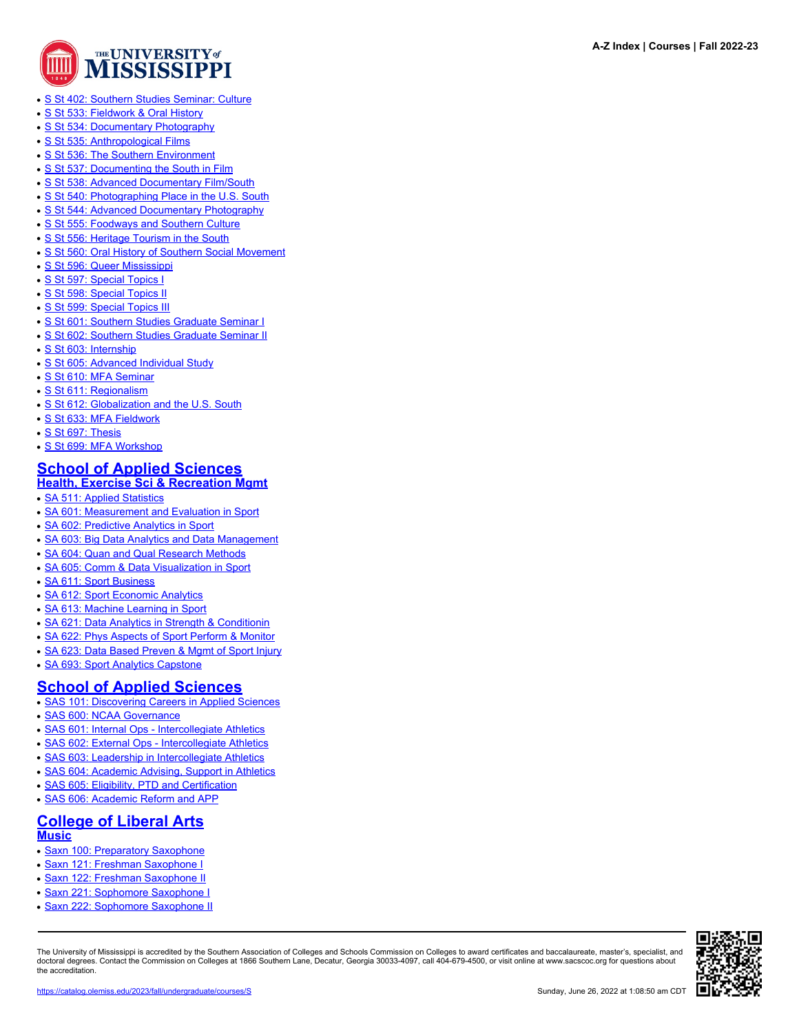

- [S St 402: Southern Studies Seminar: Culture](https://catalog.olemiss.edu/liberal-arts/center-for-the-study-southern-culture/s-st-402)
- [S St 533: Fieldwork & Oral History](https://catalog.olemiss.edu/liberal-arts/center-for-the-study-southern-culture/s-st-533)
- [S St 534: Documentary Photography](https://catalog.olemiss.edu/liberal-arts/center-for-the-study-southern-culture/s-st-534)
- [S St 535: Anthropological Films](https://catalog.olemiss.edu/liberal-arts/center-for-the-study-southern-culture/s-st-535)
- [S St 536: The Southern Environment](https://catalog.olemiss.edu/liberal-arts/center-for-the-study-southern-culture/s-st-536)
- [S St 537: Documenting the South in Film](https://catalog.olemiss.edu/liberal-arts/center-for-the-study-southern-culture/s-st-537)
- [S St 538: Advanced Documentary Film/South](https://catalog.olemiss.edu/liberal-arts/center-for-the-study-southern-culture/s-st-538)
- [S St 540: Photographing Place in the U.S. South](https://catalog.olemiss.edu/liberal-arts/center-for-the-study-southern-culture/s-st-540)
- [S St 544: Advanced Documentary Photography](https://catalog.olemiss.edu/liberal-arts/center-for-the-study-southern-culture/s-st-544)
- [S St 555: Foodways and Southern Culture](https://catalog.olemiss.edu/liberal-arts/center-for-the-study-southern-culture/s-st-555)
- [S St 556: Heritage Tourism in the South](https://catalog.olemiss.edu/liberal-arts/center-for-the-study-southern-culture/s-st-556)
- [S St 560: Oral History of Southern Social Movement](https://catalog.olemiss.edu/liberal-arts/center-for-the-study-southern-culture/s-st-560)
- [S St 596: Queer Mississippi](https://catalog.olemiss.edu/liberal-arts/center-for-the-study-southern-culture/s-st-596)
- [S St 597: Special Topics I](https://catalog.olemiss.edu/liberal-arts/center-for-the-study-southern-culture/s-st-597)
- [S St 598: Special Topics II](https://catalog.olemiss.edu/liberal-arts/center-for-the-study-southern-culture/s-st-598)
- [S St 599: Special Topics III](https://catalog.olemiss.edu/liberal-arts/center-for-the-study-southern-culture/s-st-599)
- [S St 601: Southern Studies Graduate Seminar I](https://catalog.olemiss.edu/liberal-arts/center-for-the-study-southern-culture/s-st-601)
- [S St 602: Southern Studies Graduate Seminar II](https://catalog.olemiss.edu/liberal-arts/center-for-the-study-southern-culture/s-st-602)
- [S St 603: Internship](https://catalog.olemiss.edu/liberal-arts/center-for-the-study-southern-culture/s-st-603)
- [S St 605: Advanced Individual Study](https://catalog.olemiss.edu/liberal-arts/center-for-the-study-southern-culture/s-st-605)
- [S St 610: MFA Seminar](https://catalog.olemiss.edu/liberal-arts/center-for-the-study-southern-culture/s-st-610)
- [S St 611: Regionalism](https://catalog.olemiss.edu/liberal-arts/center-for-the-study-southern-culture/s-st-611)
- [S St 612: Globalization and the U.S. South](https://catalog.olemiss.edu/liberal-arts/center-for-the-study-southern-culture/s-st-612)
- [S St 633: MFA Fieldwork](https://catalog.olemiss.edu/liberal-arts/center-for-the-study-southern-culture/s-st-633)
- [S St 697: Thesis](https://catalog.olemiss.edu/liberal-arts/center-for-the-study-southern-culture/s-st-697)
- [S St 699: MFA Workshop](https://catalog.olemiss.edu/liberal-arts/center-for-the-study-southern-culture/s-st-699)

#### **[School of Applied Sciences](https://catalog.olemiss.edu/applied-sciences) [Health, Exercise Sci & Recreation Mgmt](https://catalog.olemiss.edu/applied-sciences/health-exercise-sci-recreation-mgmt)**

- **[SA 511: Applied Statistics](https://catalog.olemiss.edu/applied-sciences/health-exercise-sci-recreation-mgmt/sa-511)**
- [SA 601: Measurement and Evaluation in Sport](https://catalog.olemiss.edu/applied-sciences/health-exercise-sci-recreation-mgmt/sa-601)
- [SA 602: Predictive Analytics in Sport](https://catalog.olemiss.edu/applied-sciences/health-exercise-sci-recreation-mgmt/sa-602)
- [SA 603: Big Data Analytics and Data Management](https://catalog.olemiss.edu/applied-sciences/health-exercise-sci-recreation-mgmt/sa-603)
- [SA 604: Quan and Qual Research Methods](https://catalog.olemiss.edu/applied-sciences/health-exercise-sci-recreation-mgmt/sa-604)
- [SA 605: Comm & Data Visualization in Sport](https://catalog.olemiss.edu/applied-sciences/health-exercise-sci-recreation-mgmt/sa-605)
- **[SA 611: Sport Business](https://catalog.olemiss.edu/applied-sciences/health-exercise-sci-recreation-mgmt/sa-611)**
- [SA 612: Sport Economic Analytics](https://catalog.olemiss.edu/applied-sciences/health-exercise-sci-recreation-mgmt/sa-612)
- [SA 613: Machine Learning in Sport](https://catalog.olemiss.edu/applied-sciences/health-exercise-sci-recreation-mgmt/sa-613)
- [SA 621: Data Analytics in Strength & Conditionin](https://catalog.olemiss.edu/applied-sciences/health-exercise-sci-recreation-mgmt/sa-621)
- [SA 622: Phys Aspects of Sport Perform & Monitor](https://catalog.olemiss.edu/applied-sciences/health-exercise-sci-recreation-mgmt/sa-622)
- [SA 623: Data Based Preven & Mgmt of Sport Injury](https://catalog.olemiss.edu/applied-sciences/health-exercise-sci-recreation-mgmt/sa-623)
- [SA 693: Sport Analytics Capstone](https://catalog.olemiss.edu/applied-sciences/health-exercise-sci-recreation-mgmt/sa-693)

#### **[School of Applied Sciences](https://catalog.olemiss.edu/applied-sciences)**

- [SAS 101: Discovering Careers in Applied Sciences](https://catalog.olemiss.edu/applied-sciences/sas-101)
- [SAS 600: NCAA Governance](https://catalog.olemiss.edu/applied-sciences/sas-600)
- [SAS 601: Internal Ops Intercollegiate Athletics](https://catalog.olemiss.edu/applied-sciences/sas-601)
- [SAS 602: External Ops Intercollegiate Athletics](https://catalog.olemiss.edu/applied-sciences/sas-602)
- [SAS 603: Leadership in Intercollegiate Athletics](https://catalog.olemiss.edu/applied-sciences/sas-603)
- [SAS 604: Academic Advising, Support in Athletics](https://catalog.olemiss.edu/applied-sciences/sas-604)
- [SAS 605: Eligibility, PTD and Certification](https://catalog.olemiss.edu/applied-sciences/sas-605)
- 
- [SAS 606: Academic Reform and APP](https://catalog.olemiss.edu/applied-sciences/sas-606)

#### **[College of Liberal Arts](https://catalog.olemiss.edu/liberal-arts) [Music](https://catalog.olemiss.edu/liberal-arts/music)**

- [Saxn 100: Preparatory Saxophone](https://catalog.olemiss.edu/liberal-arts/music/saxn-100)
- [Saxn 121: Freshman Saxophone I](https://catalog.olemiss.edu/liberal-arts/music/saxn-121)
- [Saxn 122: Freshman Saxophone II](https://catalog.olemiss.edu/liberal-arts/music/saxn-122)
- [Saxn 221: Sophomore Saxophone I](https://catalog.olemiss.edu/liberal-arts/music/saxn-221)
- [Saxn 222: Sophomore Saxophone II](https://catalog.olemiss.edu/liberal-arts/music/saxn-222)

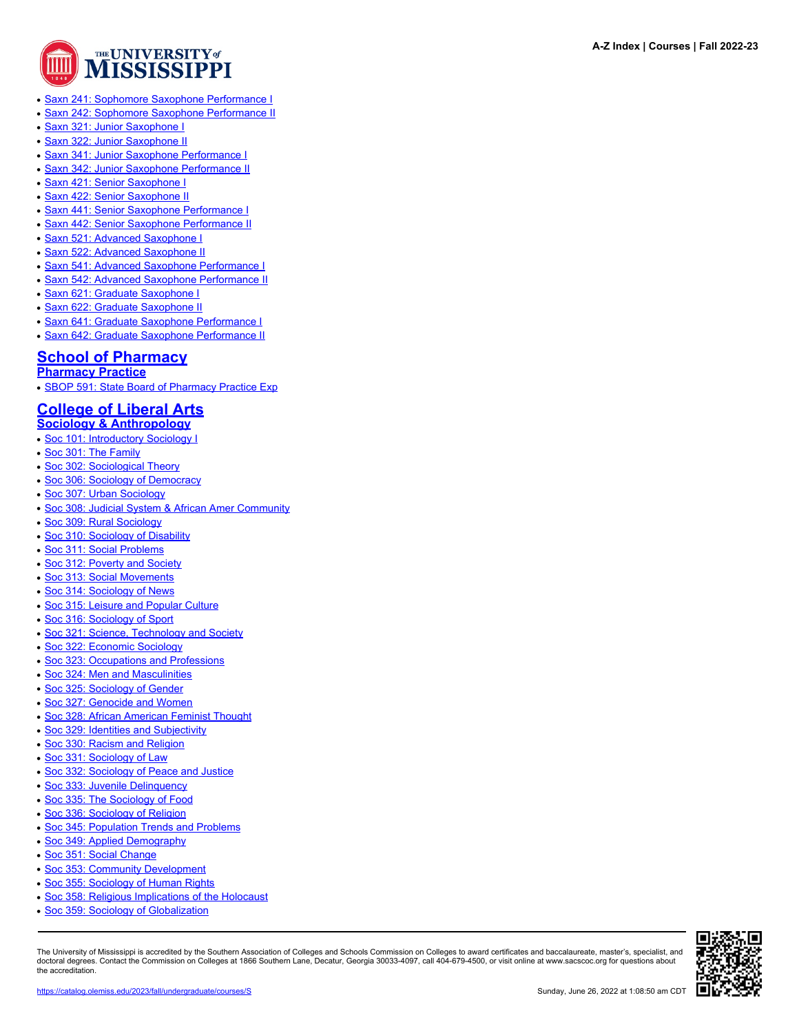

- [Saxn 241: Sophomore Saxophone Performance I](https://catalog.olemiss.edu/liberal-arts/music/saxn-241)
- [Saxn 242: Sophomore Saxophone Performance II](https://catalog.olemiss.edu/liberal-arts/music/saxn-242)
- **[Saxn 321: Junior Saxophone I](https://catalog.olemiss.edu/liberal-arts/music/saxn-321)**
- [Saxn 322: Junior Saxophone II](https://catalog.olemiss.edu/liberal-arts/music/saxn-322)
- [Saxn 341: Junior Saxophone Performance I](https://catalog.olemiss.edu/liberal-arts/music/saxn-341)
- [Saxn 342: Junior Saxophone Performance II](https://catalog.olemiss.edu/liberal-arts/music/saxn-342)
- [Saxn 421: Senior Saxophone I](https://catalog.olemiss.edu/liberal-arts/music/saxn-421)
- [Saxn 422: Senior Saxophone II](https://catalog.olemiss.edu/liberal-arts/music/saxn-422)
- **[Saxn 441: Senior Saxophone Performance I](https://catalog.olemiss.edu/liberal-arts/music/saxn-441)**
- **[Saxn 442: Senior Saxophone Performance II](https://catalog.olemiss.edu/liberal-arts/music/saxn-442)**
- [Saxn 521: Advanced Saxophone I](https://catalog.olemiss.edu/liberal-arts/music/saxn-521)
- [Saxn 522: Advanced Saxophone II](https://catalog.olemiss.edu/liberal-arts/music/saxn-522)
- **[Saxn 541: Advanced Saxophone Performance I](https://catalog.olemiss.edu/liberal-arts/music/saxn-541)**
- **[Saxn 542: Advanced Saxophone Performance II](https://catalog.olemiss.edu/liberal-arts/music/saxn-542)**
- [Saxn 621: Graduate Saxophone I](https://catalog.olemiss.edu/liberal-arts/music/saxn-621)
- [Saxn 622: Graduate Saxophone II](https://catalog.olemiss.edu/liberal-arts/music/saxn-622)
- [Saxn 641: Graduate Saxophone Performance I](https://catalog.olemiss.edu/liberal-arts/music/saxn-641)
- [Saxn 642: Graduate Saxophone Performance II](https://catalog.olemiss.edu/liberal-arts/music/saxn-642)

## **[School of Pharmacy](https://catalog.olemiss.edu/pharmacy)**

**[Pharmacy Practice](https://catalog.olemiss.edu/pharmacy/pharmacy-practice)**

• [SBOP 591: State Board of Pharmacy Practice Exp](https://catalog.olemiss.edu/pharmacy/pharmacy-practice/sbop-591)

### **[College of Liberal Arts](https://catalog.olemiss.edu/liberal-arts)**

- **[Sociology & Anthropology](https://catalog.olemiss.edu/liberal-arts/sociology-anthropology)**
- [Soc 101: Introductory Sociology I](https://catalog.olemiss.edu/liberal-arts/sociology-anthropology/soc-101)
- [Soc 301: The Family](https://catalog.olemiss.edu/liberal-arts/sociology-anthropology/soc-301)
- [Soc 302: Sociological Theory](https://catalog.olemiss.edu/liberal-arts/sociology-anthropology/soc-302)
- [Soc 306: Sociology of Democracy](https://catalog.olemiss.edu/liberal-arts/sociology-anthropology/soc-306)
- [Soc 307: Urban Sociology](https://catalog.olemiss.edu/liberal-arts/sociology-anthropology/soc-307)
- [Soc 308: Judicial System & African Amer Community](https://catalog.olemiss.edu/liberal-arts/sociology-anthropology/soc-308)
- [Soc 309: Rural Sociology](https://catalog.olemiss.edu/liberal-arts/sociology-anthropology/soc-309)
- [Soc 310: Sociology of Disability](https://catalog.olemiss.edu/liberal-arts/sociology-anthropology/soc-310)
- [Soc 311: Social Problems](https://catalog.olemiss.edu/liberal-arts/sociology-anthropology/soc-311)
- [Soc 312: Poverty and Society](https://catalog.olemiss.edu/liberal-arts/sociology-anthropology/soc-312)
- [Soc 313: Social Movements](https://catalog.olemiss.edu/liberal-arts/sociology-anthropology/soc-313)
- [Soc 314: Sociology of News](https://catalog.olemiss.edu/liberal-arts/sociology-anthropology/soc-314)
- [Soc 315: Leisure and Popular Culture](https://catalog.olemiss.edu/liberal-arts/sociology-anthropology/soc-315)
- [Soc 316: Sociology of Sport](https://catalog.olemiss.edu/liberal-arts/sociology-anthropology/soc-316)
- [Soc 321: Science, Technology and Society](https://catalog.olemiss.edu/liberal-arts/sociology-anthropology/soc-321)
- [Soc 322: Economic Sociology](https://catalog.olemiss.edu/liberal-arts/sociology-anthropology/soc-322)
- [Soc 323: Occupations and Professions](https://catalog.olemiss.edu/liberal-arts/sociology-anthropology/soc-323)
- [Soc 324: Men and Masculinities](https://catalog.olemiss.edu/liberal-arts/sociology-anthropology/soc-324)
- [Soc 325: Sociology of Gender](https://catalog.olemiss.edu/liberal-arts/sociology-anthropology/soc-325)
- [Soc 327: Genocide and Women](https://catalog.olemiss.edu/liberal-arts/sociology-anthropology/soc-327)
- [Soc 328: African American Feminist Thought](https://catalog.olemiss.edu/liberal-arts/sociology-anthropology/soc-328)
- [Soc 329: Identities and Subjectivity](https://catalog.olemiss.edu/liberal-arts/sociology-anthropology/soc-329)
- [Soc 330: Racism and Religion](https://catalog.olemiss.edu/liberal-arts/sociology-anthropology/soc-330)
- [Soc 331: Sociology of Law](https://catalog.olemiss.edu/liberal-arts/sociology-anthropology/soc-331)
- [Soc 332: Sociology of Peace and Justice](https://catalog.olemiss.edu/liberal-arts/sociology-anthropology/soc-332)
- [Soc 333: Juvenile Delinquency](https://catalog.olemiss.edu/liberal-arts/sociology-anthropology/soc-333)
- [Soc 335: The Sociology of Food](https://catalog.olemiss.edu/liberal-arts/sociology-anthropology/soc-335)
- [Soc 336: Sociology of Religion](https://catalog.olemiss.edu/liberal-arts/sociology-anthropology/soc-336)
- [Soc 345: Population Trends and Problems](https://catalog.olemiss.edu/liberal-arts/sociology-anthropology/soc-345)
- [Soc 349: Applied Demography](https://catalog.olemiss.edu/liberal-arts/sociology-anthropology/soc-349)
- [Soc 351: Social Change](https://catalog.olemiss.edu/liberal-arts/sociology-anthropology/soc-351)
- [Soc 353: Community Development](https://catalog.olemiss.edu/liberal-arts/sociology-anthropology/soc-353)
- [Soc 355: Sociology of Human Rights](https://catalog.olemiss.edu/liberal-arts/sociology-anthropology/soc-355)
- [Soc 358: Religious Implications of the Holocaust](https://catalog.olemiss.edu/liberal-arts/sociology-anthropology/soc-358)
- [Soc 359: Sociology of Globalization](https://catalog.olemiss.edu/liberal-arts/sociology-anthropology/soc-359)

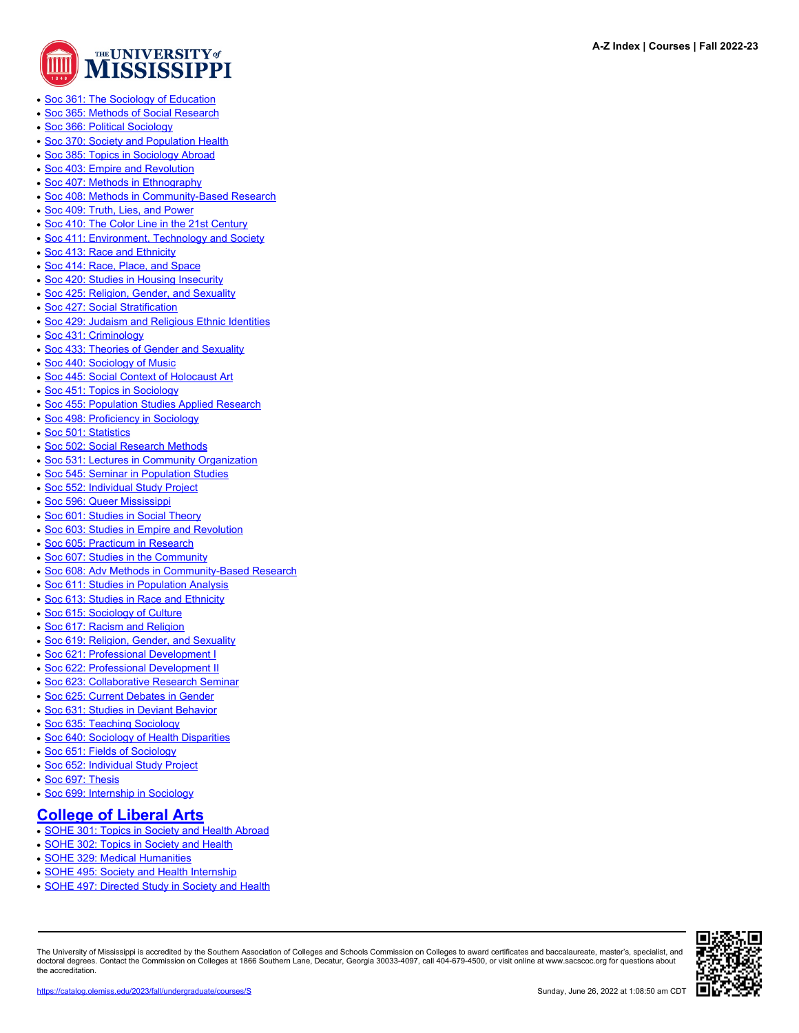

**A-Z Index | Courses | Fall 2022-23**

- [Soc 361: The Sociology of Education](https://catalog.olemiss.edu/liberal-arts/sociology-anthropology/soc-361)
- [Soc 365: Methods of Social Research](https://catalog.olemiss.edu/liberal-arts/sociology-anthropology/soc-365)
- [Soc 366: Political Sociology](https://catalog.olemiss.edu/liberal-arts/sociology-anthropology/soc-366)
- [Soc 370: Society and Population Health](https://catalog.olemiss.edu/liberal-arts/sociology-anthropology/soc-370)
- [Soc 385: Topics in Sociology Abroad](https://catalog.olemiss.edu/liberal-arts/sociology-anthropology/soc-385)
- [Soc 403: Empire and Revolution](https://catalog.olemiss.edu/liberal-arts/sociology-anthropology/soc-403)
- [Soc 407: Methods in Ethnography](https://catalog.olemiss.edu/liberal-arts/sociology-anthropology/soc-407)
- [Soc 408: Methods in Community-Based Research](https://catalog.olemiss.edu/liberal-arts/sociology-anthropology/soc-408)
- [Soc 409: Truth, Lies, and Power](https://catalog.olemiss.edu/liberal-arts/sociology-anthropology/soc-409)
- [Soc 410: The Color Line in the 21st Century](https://catalog.olemiss.edu/liberal-arts/sociology-anthropology/soc-410)
- [Soc 411: Environment, Technology and Society](https://catalog.olemiss.edu/liberal-arts/sociology-anthropology/soc-411)
- [Soc 413: Race and Ethnicity](https://catalog.olemiss.edu/liberal-arts/sociology-anthropology/soc-413)
- [Soc 414: Race, Place, and Space](https://catalog.olemiss.edu/liberal-arts/sociology-anthropology/soc-414)
- [Soc 420: Studies in Housing Insecurity](https://catalog.olemiss.edu/liberal-arts/sociology-anthropology/soc-420)
- [Soc 425: Religion, Gender, and Sexuality](https://catalog.olemiss.edu/liberal-arts/sociology-anthropology/soc-425)
- [Soc 427: Social Stratification](https://catalog.olemiss.edu/liberal-arts/sociology-anthropology/soc-427)
- [Soc 429: Judaism and Religious Ethnic Identities](https://catalog.olemiss.edu/liberal-arts/sociology-anthropology/soc-429)
- [Soc 431: Criminology](https://catalog.olemiss.edu/liberal-arts/sociology-anthropology/soc-431)
- [Soc 433: Theories of Gender and Sexuality](https://catalog.olemiss.edu/liberal-arts/sociology-anthropology/soc-433)
- [Soc 440: Sociology of Music](https://catalog.olemiss.edu/liberal-arts/sociology-anthropology/soc-440)
- [Soc 445: Social Context of Holocaust Art](https://catalog.olemiss.edu/liberal-arts/sociology-anthropology/soc-445)
- [Soc 451: Topics in Sociology](https://catalog.olemiss.edu/liberal-arts/sociology-anthropology/soc-451)
- [Soc 455: Population Studies Applied Research](https://catalog.olemiss.edu/liberal-arts/sociology-anthropology/soc-455)
- [Soc 498: Proficiency in Sociology](https://catalog.olemiss.edu/liberal-arts/sociology-anthropology/soc-498)
- [Soc 501: Statistics](https://catalog.olemiss.edu/liberal-arts/sociology-anthropology/soc-501)
- [Soc 502: Social Research Methods](https://catalog.olemiss.edu/liberal-arts/sociology-anthropology/soc-502)
- [Soc 531: Lectures in Community Organization](https://catalog.olemiss.edu/liberal-arts/sociology-anthropology/soc-531)
- [Soc 545: Seminar in Population Studies](https://catalog.olemiss.edu/liberal-arts/sociology-anthropology/soc-545)
- [Soc 552: Individual Study Project](https://catalog.olemiss.edu/liberal-arts/sociology-anthropology/soc-552)
- [Soc 596: Queer Mississippi](https://catalog.olemiss.edu/liberal-arts/sociology-anthropology/soc-596)
- [Soc 601: Studies in Social Theory](https://catalog.olemiss.edu/liberal-arts/sociology-anthropology/soc-601)
- [Soc 603: Studies in Empire and Revolution](https://catalog.olemiss.edu/liberal-arts/sociology-anthropology/soc-603)
- [Soc 605: Practicum in Research](https://catalog.olemiss.edu/liberal-arts/sociology-anthropology/soc-605)
- [Soc 607: Studies in the Community](https://catalog.olemiss.edu/liberal-arts/sociology-anthropology/soc-607)
- [Soc 608: Adv Methods in Community-Based Research](https://catalog.olemiss.edu/liberal-arts/sociology-anthropology/soc-608)
- [Soc 611: Studies in Population Analysis](https://catalog.olemiss.edu/liberal-arts/sociology-anthropology/soc-611)
- [Soc 613: Studies in Race and Ethnicity](https://catalog.olemiss.edu/liberal-arts/sociology-anthropology/soc-613)
- [Soc 615: Sociology of Culture](https://catalog.olemiss.edu/liberal-arts/sociology-anthropology/soc-615)
- [Soc 617: Racism and Religion](https://catalog.olemiss.edu/liberal-arts/sociology-anthropology/soc-617)
- [Soc 619: Religion, Gender, and Sexuality](https://catalog.olemiss.edu/liberal-arts/sociology-anthropology/soc-619)
- [Soc 621: Professional Development I](https://catalog.olemiss.edu/liberal-arts/sociology-anthropology/soc-621)
- [Soc 622: Professional Development II](https://catalog.olemiss.edu/liberal-arts/sociology-anthropology/soc-622)
- [Soc 623: Collaborative Research Seminar](https://catalog.olemiss.edu/liberal-arts/sociology-anthropology/soc-623)
- [Soc 625: Current Debates in Gender](https://catalog.olemiss.edu/liberal-arts/sociology-anthropology/soc-625)
- [Soc 631: Studies in Deviant Behavior](https://catalog.olemiss.edu/liberal-arts/sociology-anthropology/soc-631)
- [Soc 635: Teaching Sociology](https://catalog.olemiss.edu/liberal-arts/sociology-anthropology/soc-635)
- [Soc 640: Sociology of Health Disparities](https://catalog.olemiss.edu/liberal-arts/sociology-anthropology/soc-640)
- [Soc 651: Fields of Sociology](https://catalog.olemiss.edu/liberal-arts/sociology-anthropology/soc-651)
- [Soc 652: Individual Study Project](https://catalog.olemiss.edu/liberal-arts/sociology-anthropology/soc-652)
- [Soc 697: Thesis](https://catalog.olemiss.edu/liberal-arts/sociology-anthropology/soc-697)
- [Soc 699: Internship in Sociology](https://catalog.olemiss.edu/liberal-arts/sociology-anthropology/soc-699)

#### **[College of Liberal Arts](https://catalog.olemiss.edu/liberal-arts)**

- [SOHE 301: Topics in Society and Health Abroad](https://catalog.olemiss.edu/liberal-arts/sohe-301)
- [SOHE 302: Topics in Society and Health](https://catalog.olemiss.edu/liberal-arts/sohe-302)
- **[SOHE 329: Medical Humanities](https://catalog.olemiss.edu/liberal-arts/sohe-329)**
- [SOHE 495: Society and Health Internship](https://catalog.olemiss.edu/liberal-arts/sohe-495)
- [SOHE 497: Directed Study in Society and Health](https://catalog.olemiss.edu/liberal-arts/sohe-497)

The University of Mississippi is accredited by the Southern Association of Colleges and Schools Commission on Colleges to award certificates and baccalaureate, master's, specialist, and doctoral degrees. Contact the Commission on Colleges at 1866 Southern Lane, Decatur, Georgia 30033-4097, call 404-679-4500, or visit online at www.sacscoc.org for questions about the accreditation.

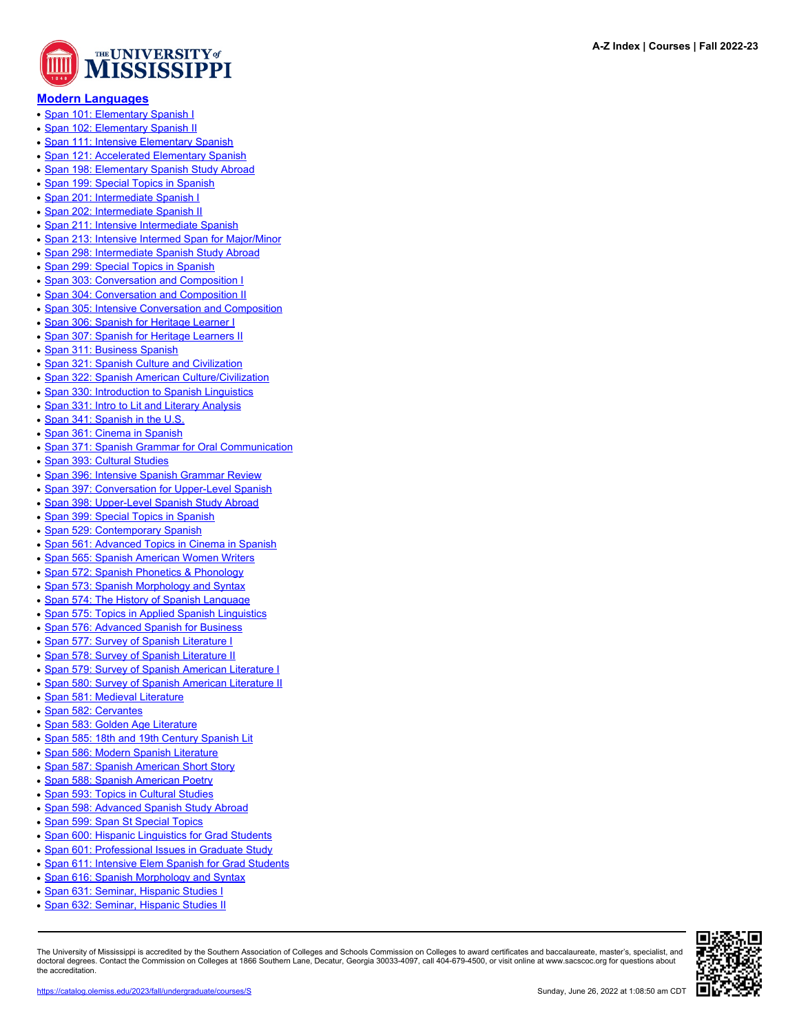

#### **[Modern Languages](https://catalog.olemiss.edu/liberal-arts/modern-languages)**

- [Span 101: Elementary Spanish I](https://catalog.olemiss.edu/liberal-arts/modern-languages/span-101)
- [Span 102: Elementary Spanish II](https://catalog.olemiss.edu/liberal-arts/modern-languages/span-102)
- [Span 111: Intensive Elementary Spanish](https://catalog.olemiss.edu/liberal-arts/modern-languages/span-111)
- [Span 121: Accelerated Elementary Spanish](https://catalog.olemiss.edu/liberal-arts/modern-languages/span-121)
- [Span 198: Elementary Spanish Study Abroad](https://catalog.olemiss.edu/liberal-arts/modern-languages/span-198)
- [Span 199: Special Topics in Spanish](https://catalog.olemiss.edu/liberal-arts/modern-languages/span-199)
- [Span 201: Intermediate Spanish I](https://catalog.olemiss.edu/liberal-arts/modern-languages/span-201)
- [Span 202: Intermediate Spanish II](https://catalog.olemiss.edu/liberal-arts/modern-languages/span-202)
- [Span 211: Intensive Intermediate Spanish](https://catalog.olemiss.edu/liberal-arts/modern-languages/span-211)
- [Span 213: Intensive Intermed Span for Major/Minor](https://catalog.olemiss.edu/liberal-arts/modern-languages/span-213)
- [Span 298: Intermediate Spanish Study Abroad](https://catalog.olemiss.edu/liberal-arts/modern-languages/span-298)
- [Span 299: Special Topics in Spanish](https://catalog.olemiss.edu/liberal-arts/modern-languages/span-299)
- [Span 303: Conversation and Composition I](https://catalog.olemiss.edu/liberal-arts/modern-languages/span-303)
- [Span 304: Conversation and Composition II](https://catalog.olemiss.edu/liberal-arts/modern-languages/span-304)
- [Span 305: Intensive Conversation and Composition](https://catalog.olemiss.edu/liberal-arts/modern-languages/span-305)
- [Span 306: Spanish for Heritage Learner I](https://catalog.olemiss.edu/liberal-arts/modern-languages/span-306)
- [Span 307: Spanish for Heritage Learners II](https://catalog.olemiss.edu/liberal-arts/modern-languages/span-307)
- [Span 311: Business Spanish](https://catalog.olemiss.edu/liberal-arts/modern-languages/span-311)
- [Span 321: Spanish Culture and Civilization](https://catalog.olemiss.edu/liberal-arts/modern-languages/span-321)
- [Span 322: Spanish American Culture/Civilization](https://catalog.olemiss.edu/liberal-arts/modern-languages/span-322)
- [Span 330: Introduction to Spanish Linguistics](https://catalog.olemiss.edu/liberal-arts/modern-languages/span-330)
- [Span 331: Intro to Lit and Literary Analysis](https://catalog.olemiss.edu/liberal-arts/modern-languages/span-331)
- [Span 341: Spanish in the U.S.](https://catalog.olemiss.edu/liberal-arts/modern-languages/span-341)
- [Span 361: Cinema in Spanish](https://catalog.olemiss.edu/liberal-arts/modern-languages/span-361)
- [Span 371: Spanish Grammar for Oral Communication](https://catalog.olemiss.edu/liberal-arts/modern-languages/span-371)
- [Span 393: Cultural Studies](https://catalog.olemiss.edu/liberal-arts/modern-languages/span-393)
- [Span 396: Intensive Spanish Grammar Review](https://catalog.olemiss.edu/liberal-arts/modern-languages/span-396)
- [Span 397: Conversation for Upper-Level Spanish](https://catalog.olemiss.edu/liberal-arts/modern-languages/span-397)
- [Span 398: Upper-Level Spanish Study Abroad](https://catalog.olemiss.edu/liberal-arts/modern-languages/span-398)
- [Span 399: Special Topics in Spanish](https://catalog.olemiss.edu/liberal-arts/modern-languages/span-399)
- [Span 529: Contemporary Spanish](https://catalog.olemiss.edu/liberal-arts/modern-languages/span-529)
- [Span 561: Advanced Topics in Cinema in Spanish](https://catalog.olemiss.edu/liberal-arts/modern-languages/span-561)
- [Span 565: Spanish American Women Writers](https://catalog.olemiss.edu/liberal-arts/modern-languages/span-565)
- [Span 572: Spanish Phonetics & Phonology](https://catalog.olemiss.edu/liberal-arts/modern-languages/span-572)
- [Span 573: Spanish Morphology and Syntax](https://catalog.olemiss.edu/liberal-arts/modern-languages/span-573)
- [Span 574: The History of Spanish Language](https://catalog.olemiss.edu/liberal-arts/modern-languages/span-574)
- [Span 575: Topics in Applied Spanish Linguistics](https://catalog.olemiss.edu/liberal-arts/modern-languages/span-575)
- [Span 576: Advanced Spanish for Business](https://catalog.olemiss.edu/liberal-arts/modern-languages/span-576)
- [Span 577: Survey of Spanish Literature I](https://catalog.olemiss.edu/liberal-arts/modern-languages/span-577)
- [Span 578: Survey of Spanish Literature II](https://catalog.olemiss.edu/liberal-arts/modern-languages/span-578)
- 
- [Span 579: Survey of Spanish American Literature I](https://catalog.olemiss.edu/liberal-arts/modern-languages/span-579) • [Span 580: Survey of Spanish American Literature II](https://catalog.olemiss.edu/liberal-arts/modern-languages/span-580)
- 
- [Span 581: Medieval Literature](https://catalog.olemiss.edu/liberal-arts/modern-languages/span-581)
- [Span 582: Cervantes](https://catalog.olemiss.edu/liberal-arts/modern-languages/span-582)
- [Span 583: Golden Age Literature](https://catalog.olemiss.edu/liberal-arts/modern-languages/span-583)
- [Span 585: 18th and 19th Century Spanish Lit](https://catalog.olemiss.edu/liberal-arts/modern-languages/span-585)
- [Span 586: Modern Spanish Literature](https://catalog.olemiss.edu/liberal-arts/modern-languages/span-586)
- [Span 587: Spanish American Short Story](https://catalog.olemiss.edu/liberal-arts/modern-languages/span-587)
- [Span 588: Spanish American Poetry](https://catalog.olemiss.edu/liberal-arts/modern-languages/span-588)
- [Span 593: Topics in Cultural Studies](https://catalog.olemiss.edu/liberal-arts/modern-languages/span-593)
- [Span 598: Advanced Spanish Study Abroad](https://catalog.olemiss.edu/liberal-arts/modern-languages/span-598)
- [Span 599: Span St Special Topics](https://catalog.olemiss.edu/liberal-arts/modern-languages/span-599)
- [Span 600: Hispanic Linguistics for Grad Students](https://catalog.olemiss.edu/liberal-arts/modern-languages/span-600)
- [Span 601: Professional Issues in Graduate Study](https://catalog.olemiss.edu/liberal-arts/modern-languages/span-601)
- [Span 611: Intensive Elem Spanish for Grad Students](https://catalog.olemiss.edu/liberal-arts/modern-languages/span-611)
- [Span 616: Spanish Morphology and Syntax](https://catalog.olemiss.edu/liberal-arts/modern-languages/span-616)
- [Span 631: Seminar, Hispanic Studies I](https://catalog.olemiss.edu/liberal-arts/modern-languages/span-631)
- **[Span 632: Seminar, Hispanic Studies II](https://catalog.olemiss.edu/liberal-arts/modern-languages/span-632)**

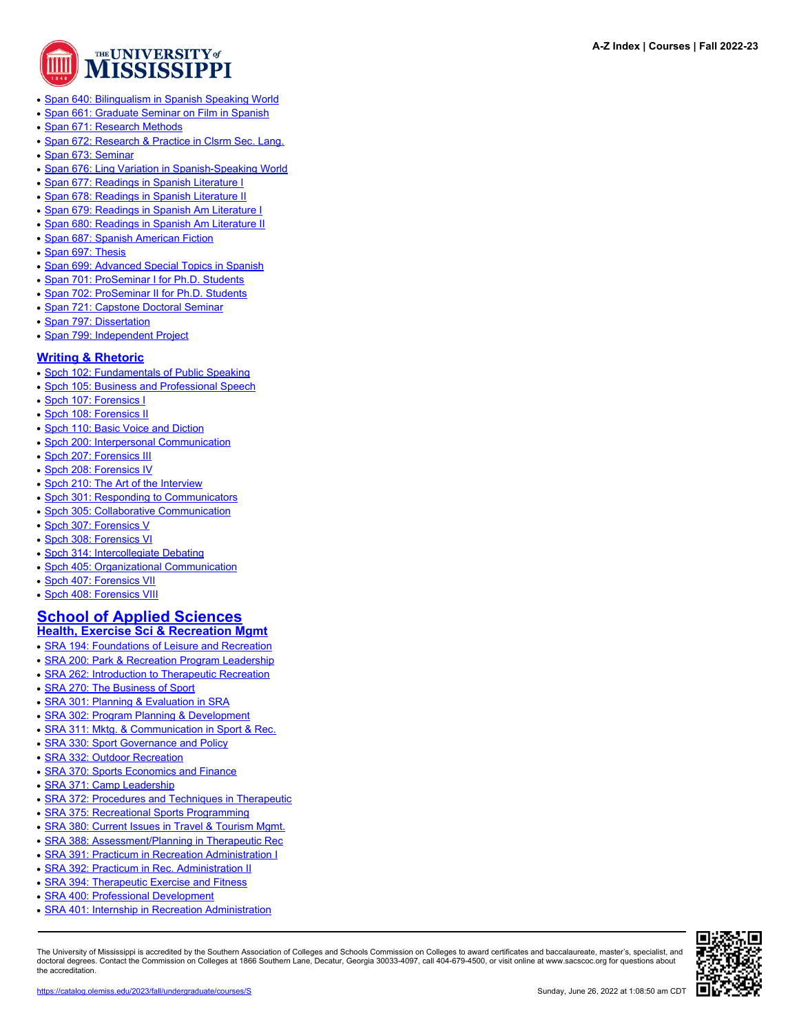

- [Span 640: Bilingualism in Spanish Speaking World](https://catalog.olemiss.edu/liberal-arts/modern-languages/span-640)
- [Span 661: Graduate Seminar on Film in Spanish](https://catalog.olemiss.edu/liberal-arts/modern-languages/span-661)
- [Span 671: Research Methods](https://catalog.olemiss.edu/liberal-arts/modern-languages/span-671)
- [Span 672: Research & Practice in Clsrm Sec. Lang.](https://catalog.olemiss.edu/liberal-arts/modern-languages/span-672)
- [Span 673: Seminar](https://catalog.olemiss.edu/liberal-arts/modern-languages/span-673)
- [Span 676: Ling Variation in Spanish-Speaking World](https://catalog.olemiss.edu/liberal-arts/modern-languages/span-676)
- [Span 677: Readings in Spanish Literature I](https://catalog.olemiss.edu/liberal-arts/modern-languages/span-677)
- [Span 678: Readings in Spanish Literature II](https://catalog.olemiss.edu/liberal-arts/modern-languages/span-678)
- [Span 679: Readings in Spanish Am Literature I](https://catalog.olemiss.edu/liberal-arts/modern-languages/span-679)
- [Span 680: Readings in Spanish Am Literature II](https://catalog.olemiss.edu/liberal-arts/modern-languages/span-680)
- [Span 687: Spanish American Fiction](https://catalog.olemiss.edu/liberal-arts/modern-languages/span-687)
- [Span 697: Thesis](https://catalog.olemiss.edu/liberal-arts/modern-languages/span-697)
- [Span 699: Advanced Special Topics in Spanish](https://catalog.olemiss.edu/liberal-arts/modern-languages/span-699)
- [Span 701: ProSeminar I for Ph.D. Students](https://catalog.olemiss.edu/liberal-arts/modern-languages/span-701)
- [Span 702: ProSeminar II for Ph.D. Students](https://catalog.olemiss.edu/liberal-arts/modern-languages/span-702)
- [Span 721: Capstone Doctoral Seminar](https://catalog.olemiss.edu/liberal-arts/modern-languages/span-721)
- [Span 797: Dissertation](https://catalog.olemiss.edu/liberal-arts/modern-languages/span-797)
- [Span 799: Independent Project](https://catalog.olemiss.edu/liberal-arts/modern-languages/span-799)

#### **[Writing & Rhetoric](https://catalog.olemiss.edu/liberal-arts/writing-rhetoric)**

- [Spch 102: Fundamentals of Public Speaking](https://catalog.olemiss.edu/liberal-arts/writing-rhetoric/spch-102)
- [Spch 105: Business and Professional Speech](https://catalog.olemiss.edu/liberal-arts/writing-rhetoric/spch-105)
- [Spch 107: Forensics I](https://catalog.olemiss.edu/liberal-arts/writing-rhetoric/spch-107)
- [Spch 108: Forensics II](https://catalog.olemiss.edu/liberal-arts/writing-rhetoric/spch-108)
- [Spch 110: Basic Voice and Diction](https://catalog.olemiss.edu/liberal-arts/writing-rhetoric/spch-110)
- [Spch 200: Interpersonal Communication](https://catalog.olemiss.edu/liberal-arts/writing-rhetoric/spch-200)
- [Spch 207: Forensics III](https://catalog.olemiss.edu/liberal-arts/writing-rhetoric/spch-207)
- [Spch 208: Forensics IV](https://catalog.olemiss.edu/liberal-arts/writing-rhetoric/spch-208)
- [Spch 210: The Art of the Interview](https://catalog.olemiss.edu/liberal-arts/writing-rhetoric/spch-210)
- [Spch 301: Responding to Communicators](https://catalog.olemiss.edu/liberal-arts/writing-rhetoric/spch-301)
- [Spch 305: Collaborative Communication](https://catalog.olemiss.edu/liberal-arts/writing-rhetoric/spch-305)
- [Spch 307: Forensics V](https://catalog.olemiss.edu/liberal-arts/writing-rhetoric/spch-307)
- [Spch 308: Forensics VI](https://catalog.olemiss.edu/liberal-arts/writing-rhetoric/spch-308)
- [Spch 314: Intercollegiate Debating](https://catalog.olemiss.edu/liberal-arts/writing-rhetoric/spch-314)
- [Spch 405: Organizational Communication](https://catalog.olemiss.edu/liberal-arts/writing-rhetoric/spch-405)
- [Spch 407: Forensics VII](https://catalog.olemiss.edu/liberal-arts/writing-rhetoric/spch-407)
- [Spch 408: Forensics VIII](https://catalog.olemiss.edu/liberal-arts/writing-rhetoric/spch-408)

#### **[School of Applied Sciences](https://catalog.olemiss.edu/applied-sciences) [Health, Exercise Sci & Recreation Mgmt](https://catalog.olemiss.edu/applied-sciences/health-exercise-sci-recreation-mgmt)**

- [SRA 194: Foundations of Leisure and Recreation](https://catalog.olemiss.edu/applied-sciences/health-exercise-sci-recreation-mgmt/sra-194)
- **[SRA 200: Park & Recreation Program Leadership](https://catalog.olemiss.edu/applied-sciences/health-exercise-sci-recreation-mgmt/sra-200)**
- [SRA 262: Introduction to Therapeutic Recreation](https://catalog.olemiss.edu/applied-sciences/health-exercise-sci-recreation-mgmt/sra-262)
- **[SRA 270: The Business of Sport](https://catalog.olemiss.edu/applied-sciences/health-exercise-sci-recreation-mgmt/sra-270)**
- [SRA 301: Planning & Evaluation in SRA](https://catalog.olemiss.edu/applied-sciences/health-exercise-sci-recreation-mgmt/sra-301)
- [SRA 302: Program Planning & Development](https://catalog.olemiss.edu/applied-sciences/health-exercise-sci-recreation-mgmt/sra-302)
- [SRA 311: Mktg. & Communication in Sport & Rec.](https://catalog.olemiss.edu/applied-sciences/health-exercise-sci-recreation-mgmt/sra-311)
- [SRA 330: Sport Governance and Policy](https://catalog.olemiss.edu/applied-sciences/health-exercise-sci-recreation-mgmt/sra-330)
- [SRA 332: Outdoor Recreation](https://catalog.olemiss.edu/applied-sciences/health-exercise-sci-recreation-mgmt/sra-332)
- [SRA 370: Sports Economics and Finance](https://catalog.olemiss.edu/applied-sciences/health-exercise-sci-recreation-mgmt/sra-370)
- [SRA 371: Camp Leadership](https://catalog.olemiss.edu/applied-sciences/health-exercise-sci-recreation-mgmt/sra-371)
- [SRA 372: Procedures and Techniques in Therapeutic](https://catalog.olemiss.edu/applied-sciences/health-exercise-sci-recreation-mgmt/sra-372)
- **[SRA 375: Recreational Sports Programming](https://catalog.olemiss.edu/applied-sciences/health-exercise-sci-recreation-mgmt/sra-375)**
- [SRA 380: Current Issues in Travel & Tourism Mgmt.](https://catalog.olemiss.edu/applied-sciences/health-exercise-sci-recreation-mgmt/sra-380)
- [SRA 388: Assessment/Planning in Therapeutic Rec](https://catalog.olemiss.edu/applied-sciences/health-exercise-sci-recreation-mgmt/sra-388)
- [SRA 391: Practicum in Recreation Administration I](https://catalog.olemiss.edu/applied-sciences/health-exercise-sci-recreation-mgmt/sra-391)
- [SRA 392: Practicum in Rec. Administration II](https://catalog.olemiss.edu/applied-sciences/health-exercise-sci-recreation-mgmt/sra-392)
- **[SRA 394: Therapeutic Exercise and Fitness](https://catalog.olemiss.edu/applied-sciences/health-exercise-sci-recreation-mgmt/sra-394)**
- [SRA 400: Professional Development](https://catalog.olemiss.edu/applied-sciences/health-exercise-sci-recreation-mgmt/sra-400)
- [SRA 401: Internship in Recreation Administration](https://catalog.olemiss.edu/applied-sciences/health-exercise-sci-recreation-mgmt/sra-401)

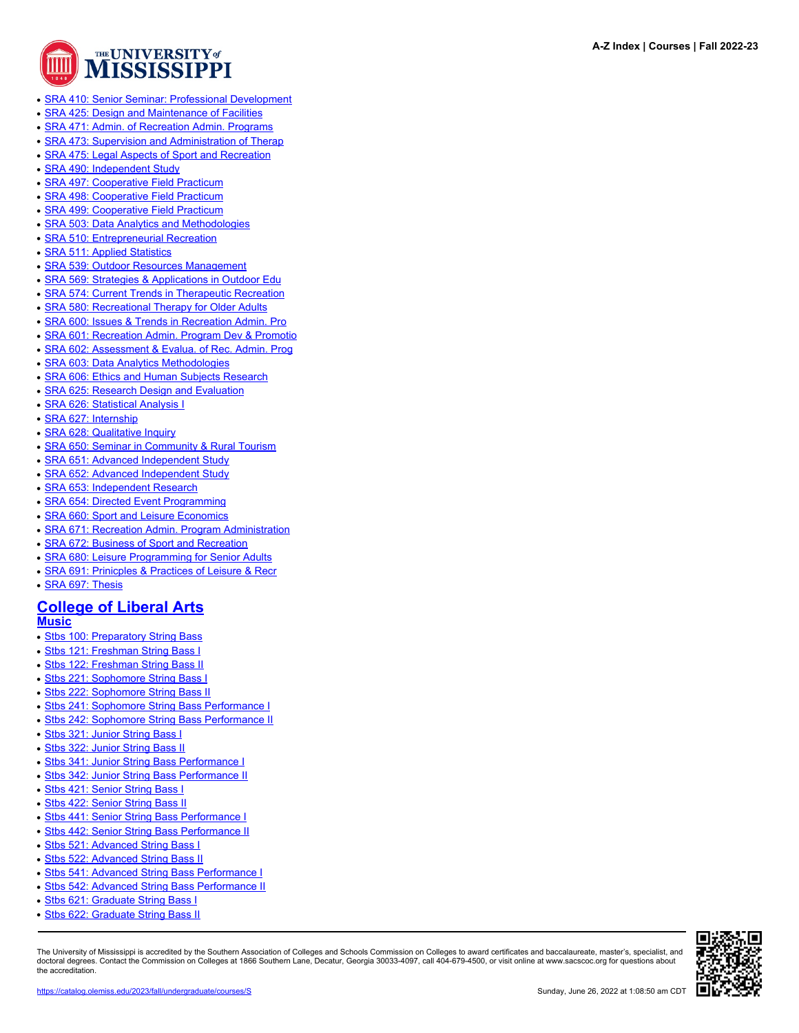

- **[SRA 410: Senior Seminar: Professional Development](https://catalog.olemiss.edu/applied-sciences/health-exercise-sci-recreation-mgmt/sra-410)**
- **[SRA 425: Design and Maintenance of Facilities](https://catalog.olemiss.edu/applied-sciences/health-exercise-sci-recreation-mgmt/sra-425)**
- [SRA 471: Admin. of Recreation Admin. Programs](https://catalog.olemiss.edu/applied-sciences/health-exercise-sci-recreation-mgmt/sra-471)
- [SRA 473: Supervision and Administration of Therap](https://catalog.olemiss.edu/applied-sciences/health-exercise-sci-recreation-mgmt/sra-473)
- [SRA 475: Legal Aspects of Sport and Recreation](https://catalog.olemiss.edu/applied-sciences/health-exercise-sci-recreation-mgmt/sra-475)
- [SRA 490: Independent Study](https://catalog.olemiss.edu/applied-sciences/health-exercise-sci-recreation-mgmt/sra-490)
- [SRA 497: Cooperative Field Practicum](https://catalog.olemiss.edu/applied-sciences/health-exercise-sci-recreation-mgmt/sra-497)
- [SRA 498: Cooperative Field Practicum](https://catalog.olemiss.edu/applied-sciences/health-exercise-sci-recreation-mgmt/sra-498)
- **[SRA 499: Cooperative Field Practicum](https://catalog.olemiss.edu/applied-sciences/health-exercise-sci-recreation-mgmt/sra-499)**
- [SRA 503: Data Analytics and Methodologies](https://catalog.olemiss.edu/applied-sciences/health-exercise-sci-recreation-mgmt/sra-503)
- [SRA 510: Entrepreneurial Recreation](https://catalog.olemiss.edu/applied-sciences/health-exercise-sci-recreation-mgmt/sra-510)
- [SRA 511: Applied Statistics](https://catalog.olemiss.edu/applied-sciences/health-exercise-sci-recreation-mgmt/sra-511)
- [SRA 539: Outdoor Resources Management](https://catalog.olemiss.edu/applied-sciences/health-exercise-sci-recreation-mgmt/sra-539)
- [SRA 569: Strategies & Applications in Outdoor Edu](https://catalog.olemiss.edu/applied-sciences/health-exercise-sci-recreation-mgmt/sra-569)
- [SRA 574: Current Trends in Therapeutic Recreation](https://catalog.olemiss.edu/applied-sciences/health-exercise-sci-recreation-mgmt/sra-574)
- [SRA 580: Recreational Therapy for Older Adults](https://catalog.olemiss.edu/applied-sciences/health-exercise-sci-recreation-mgmt/sra-580)
- [SRA 600: Issues & Trends in Recreation Admin. Pro](https://catalog.olemiss.edu/applied-sciences/health-exercise-sci-recreation-mgmt/sra-600)
- [SRA 601: Recreation Admin. Program Dev & Promotio](https://catalog.olemiss.edu/applied-sciences/health-exercise-sci-recreation-mgmt/sra-601)
- [SRA 602: Assessment & Evalua. of Rec. Admin. Prog](https://catalog.olemiss.edu/applied-sciences/health-exercise-sci-recreation-mgmt/sra-602)
- **[SRA 603: Data Analytics Methodologies](https://catalog.olemiss.edu/applied-sciences/health-exercise-sci-recreation-mgmt/sra-603)**
- [SRA 606: Ethics and Human Subjects Research](https://catalog.olemiss.edu/applied-sciences/health-exercise-sci-recreation-mgmt/sra-606)
- [SRA 625: Research Design and Evaluation](https://catalog.olemiss.edu/applied-sciences/health-exercise-sci-recreation-mgmt/sra-625)
- [SRA 626: Statistical Analysis I](https://catalog.olemiss.edu/applied-sciences/health-exercise-sci-recreation-mgmt/sra-626)
- **[SRA 627: Internship](https://catalog.olemiss.edu/applied-sciences/health-exercise-sci-recreation-mgmt/sra-627)**
- **[SRA 628: Qualitative Inquiry](https://catalog.olemiss.edu/applied-sciences/health-exercise-sci-recreation-mgmt/sra-628)**
- [SRA 650: Seminar in Community & Rural Tourism](https://catalog.olemiss.edu/applied-sciences/health-exercise-sci-recreation-mgmt/sra-650)
- [SRA 651: Advanced Independent Study](https://catalog.olemiss.edu/applied-sciences/health-exercise-sci-recreation-mgmt/sra-651)
- **[SRA 652: Advanced Independent Study](https://catalog.olemiss.edu/applied-sciences/health-exercise-sci-recreation-mgmt/sra-652)**
- [SRA 653: Independent Research](https://catalog.olemiss.edu/applied-sciences/health-exercise-sci-recreation-mgmt/sra-653)
- [SRA 654: Directed Event Programming](https://catalog.olemiss.edu/applied-sciences/health-exercise-sci-recreation-mgmt/sra-654)
- [SRA 660: Sport and Leisure Economics](https://catalog.olemiss.edu/applied-sciences/health-exercise-sci-recreation-mgmt/sra-660)
- [SRA 671: Recreation Admin. Program Administration](https://catalog.olemiss.edu/applied-sciences/health-exercise-sci-recreation-mgmt/sra-671)
- [SRA 672: Business of Sport and Recreation](https://catalog.olemiss.edu/applied-sciences/health-exercise-sci-recreation-mgmt/sra-672)
- [SRA 680: Leisure Programming for Senior Adults](https://catalog.olemiss.edu/applied-sciences/health-exercise-sci-recreation-mgmt/sra-680)
- [SRA 691: Prinicples & Practices of Leisure & Recr](https://catalog.olemiss.edu/applied-sciences/health-exercise-sci-recreation-mgmt/sra-691)
- [SRA 697: Thesis](https://catalog.olemiss.edu/applied-sciences/health-exercise-sci-recreation-mgmt/sra-697)

# **[College of Liberal Arts](https://catalog.olemiss.edu/liberal-arts)**

**[Music](https://catalog.olemiss.edu/liberal-arts/music)**

- [Stbs 100: Preparatory String Bass](https://catalog.olemiss.edu/liberal-arts/music/stbs-100)
- [Stbs 121: Freshman String Bass I](https://catalog.olemiss.edu/liberal-arts/music/stbs-121)
- [Stbs 122: Freshman String Bass II](https://catalog.olemiss.edu/liberal-arts/music/stbs-122)
- [Stbs 221: Sophomore String Bass I](https://catalog.olemiss.edu/liberal-arts/music/stbs-221)
- [Stbs 222: Sophomore String Bass II](https://catalog.olemiss.edu/liberal-arts/music/stbs-222)
- [Stbs 241: Sophomore String Bass Performance I](https://catalog.olemiss.edu/liberal-arts/music/stbs-241)
- [Stbs 242: Sophomore String Bass Performance II](https://catalog.olemiss.edu/liberal-arts/music/stbs-242)
- [Stbs 321: Junior String Bass I](https://catalog.olemiss.edu/liberal-arts/music/stbs-321)
- [Stbs 322: Junior String Bass II](https://catalog.olemiss.edu/liberal-arts/music/stbs-322)
- [Stbs 341: Junior String Bass Performance I](https://catalog.olemiss.edu/liberal-arts/music/stbs-341)
- [Stbs 342: Junior String Bass Performance II](https://catalog.olemiss.edu/liberal-arts/music/stbs-342)
- [Stbs 421: Senior String Bass I](https://catalog.olemiss.edu/liberal-arts/music/stbs-421)
- [Stbs 422: Senior String Bass II](https://catalog.olemiss.edu/liberal-arts/music/stbs-422)
- [Stbs 441: Senior String Bass Performance I](https://catalog.olemiss.edu/liberal-arts/music/stbs-441)
- [Stbs 442: Senior String Bass Performance II](https://catalog.olemiss.edu/liberal-arts/music/stbs-442)
- [Stbs 521: Advanced String Bass I](https://catalog.olemiss.edu/liberal-arts/music/stbs-521)
- [Stbs 522: Advanced String Bass II](https://catalog.olemiss.edu/liberal-arts/music/stbs-522)
- [Stbs 541: Advanced String Bass Performance I](https://catalog.olemiss.edu/liberal-arts/music/stbs-541)
- [Stbs 542: Advanced String Bass Performance II](https://catalog.olemiss.edu/liberal-arts/music/stbs-542)
- [Stbs 621: Graduate String Bass I](https://catalog.olemiss.edu/liberal-arts/music/stbs-621)
- [Stbs 622: Graduate String Bass II](https://catalog.olemiss.edu/liberal-arts/music/stbs-622)

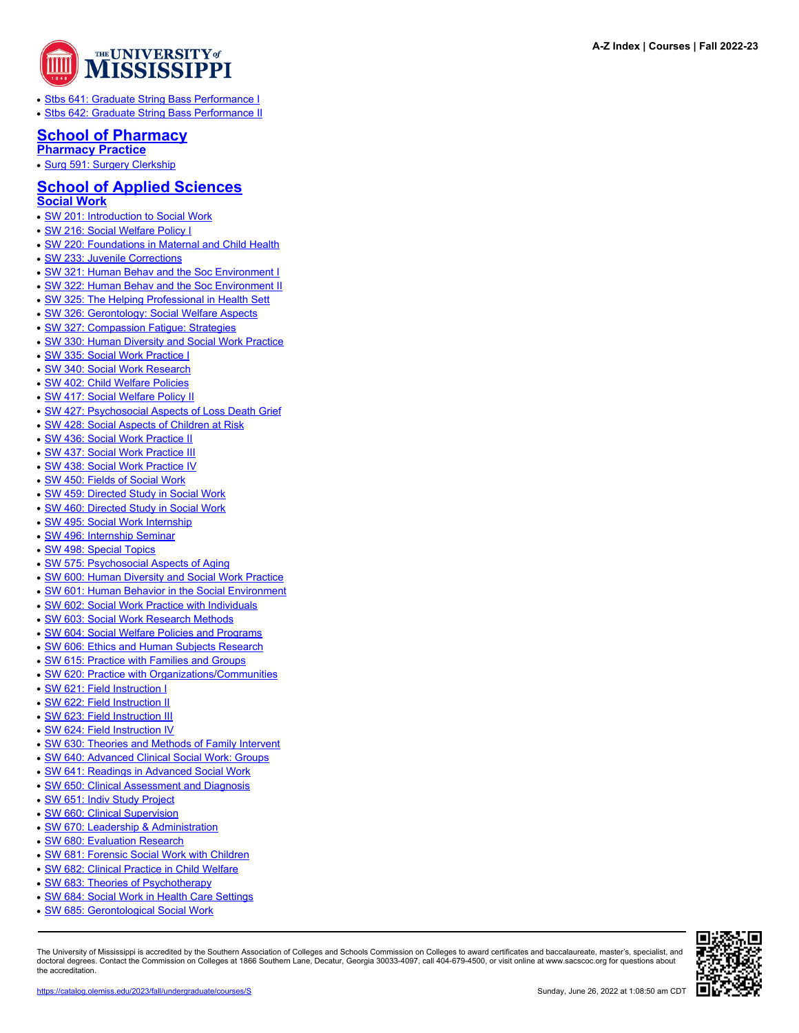

- [Stbs 641: Graduate String Bass Performance I](https://catalog.olemiss.edu/liberal-arts/music/stbs-641)
- [Stbs 642: Graduate String Bass Performance II](https://catalog.olemiss.edu/liberal-arts/music/stbs-642)

#### **[School of Pharmacy](https://catalog.olemiss.edu/pharmacy) [Pharmacy Practice](https://catalog.olemiss.edu/pharmacy/pharmacy-practice)**

- 
- [Surg 591: Surgery Clerkship](https://catalog.olemiss.edu/pharmacy/pharmacy-practice/surg-591)

#### **[School of Applied Sciences](https://catalog.olemiss.edu/applied-sciences) [Social Work](https://catalog.olemiss.edu/applied-sciences/social-work)**

- [SW 201: Introduction to Social Work](https://catalog.olemiss.edu/applied-sciences/social-work/sw-201)
- [SW 216: Social Welfare Policy I](https://catalog.olemiss.edu/applied-sciences/social-work/sw-216)
- [SW 220: Foundations in Maternal and Child Health](https://catalog.olemiss.edu/applied-sciences/social-work/sw-220)
- [SW 233: Juvenile Corrections](https://catalog.olemiss.edu/applied-sciences/social-work/sw-233)
- [SW 321: Human Behav and the Soc Environment I](https://catalog.olemiss.edu/applied-sciences/social-work/sw-321)
- [SW 322: Human Behav and the Soc Environment II](https://catalog.olemiss.edu/applied-sciences/social-work/sw-322)
- [SW 325: The Helping Professional in Health Sett](https://catalog.olemiss.edu/applied-sciences/social-work/sw-325)
- [SW 326: Gerontology: Social Welfare Aspects](https://catalog.olemiss.edu/applied-sciences/social-work/sw-326)
- SW 327: Compassion Fatique: Strategies
- [SW 330: Human Diversity and Social Work Practice](https://catalog.olemiss.edu/applied-sciences/social-work/sw-330)
- [SW 335: Social Work Practice I](https://catalog.olemiss.edu/applied-sciences/social-work/sw-335)
- [SW 340: Social Work Research](https://catalog.olemiss.edu/applied-sciences/social-work/sw-340)
- [SW 402: Child Welfare Policies](https://catalog.olemiss.edu/applied-sciences/social-work/sw-402)
- [SW 417: Social Welfare Policy II](https://catalog.olemiss.edu/applied-sciences/social-work/sw-417)
- [SW 427: Psychosocial Aspects of Loss Death Grief](https://catalog.olemiss.edu/applied-sciences/social-work/sw-427)
- [SW 428: Social Aspects of Children at Risk](https://catalog.olemiss.edu/applied-sciences/social-work/sw-428)
- [SW 436: Social Work Practice II](https://catalog.olemiss.edu/applied-sciences/social-work/sw-436)
- [SW 437: Social Work Practice III](https://catalog.olemiss.edu/applied-sciences/social-work/sw-437)
- [SW 438: Social Work Practice IV](https://catalog.olemiss.edu/applied-sciences/social-work/sw-438)
- [SW 450: Fields of Social Work](https://catalog.olemiss.edu/applied-sciences/social-work/sw-450)
- [SW 459: Directed Study in Social Work](https://catalog.olemiss.edu/applied-sciences/social-work/sw-459)
- [SW 460: Directed Study in Social Work](https://catalog.olemiss.edu/applied-sciences/social-work/sw-460)
- [SW 495: Social Work Internship](https://catalog.olemiss.edu/applied-sciences/social-work/sw-495)
- [SW 496: Internship Seminar](https://catalog.olemiss.edu/applied-sciences/social-work/sw-496)
- [SW 498: Special Topics](https://catalog.olemiss.edu/applied-sciences/social-work/sw-498)
- [SW 575: Psychosocial Aspects of Aging](https://catalog.olemiss.edu/applied-sciences/social-work/sw-575)
- [SW 600: Human Diversity and Social Work Practice](https://catalog.olemiss.edu/applied-sciences/social-work/sw-600)
- [SW 601: Human Behavior in the Social Environment](https://catalog.olemiss.edu/applied-sciences/social-work/sw-601)
- [SW 602: Social Work Practice with Individuals](https://catalog.olemiss.edu/applied-sciences/social-work/sw-602)
- [SW 603: Social Work Research Methods](https://catalog.olemiss.edu/applied-sciences/social-work/sw-603)
- [SW 604: Social Welfare Policies and Programs](https://catalog.olemiss.edu/applied-sciences/social-work/sw-604)
- 
- **[SW 606: Ethics and Human Subjects Research](https://catalog.olemiss.edu/applied-sciences/social-work/sw-606)**
- [SW 615: Practice with Families and Groups](https://catalog.olemiss.edu/applied-sciences/social-work/sw-615)
- [SW 620: Practice with Organizations/Communities](https://catalog.olemiss.edu/applied-sciences/social-work/sw-620)
- [SW 621: Field Instruction I](https://catalog.olemiss.edu/applied-sciences/social-work/sw-621)
- [SW 622: Field Instruction II](https://catalog.olemiss.edu/applied-sciences/social-work/sw-622)
- [SW 623: Field Instruction III](https://catalog.olemiss.edu/applied-sciences/social-work/sw-623)
- [SW 624: Field Instruction IV](https://catalog.olemiss.edu/applied-sciences/social-work/sw-624)
- [SW 630: Theories and Methods of Family Intervent](https://catalog.olemiss.edu/applied-sciences/social-work/sw-630)
- [SW 640: Advanced Clinical Social Work: Groups](https://catalog.olemiss.edu/applied-sciences/social-work/sw-640)
- [SW 641: Readings in Advanced Social Work](https://catalog.olemiss.edu/applied-sciences/social-work/sw-641)
- [SW 650: Clinical Assessment and Diagnosis](https://catalog.olemiss.edu/applied-sciences/social-work/sw-650)
- [SW 651: Indiv Study Project](https://catalog.olemiss.edu/applied-sciences/social-work/sw-651)
- [SW 660: Clinical Supervision](https://catalog.olemiss.edu/applied-sciences/social-work/sw-660)
- [SW 670: Leadership & Administration](https://catalog.olemiss.edu/applied-sciences/social-work/sw-670)
- [SW 680: Evaluation Research](https://catalog.olemiss.edu/applied-sciences/social-work/sw-680)
- [SW 681: Forensic Social Work with Children](https://catalog.olemiss.edu/applied-sciences/social-work/sw-681)
- [SW 682: Clinical Practice in Child Welfare](https://catalog.olemiss.edu/applied-sciences/social-work/sw-682)
- [SW 683: Theories of Psychotherapy](https://catalog.olemiss.edu/applied-sciences/social-work/sw-683)
- [SW 684: Social Work in Health Care Settings](https://catalog.olemiss.edu/applied-sciences/social-work/sw-684)
- [SW 685: Gerontological Social Work](https://catalog.olemiss.edu/applied-sciences/social-work/sw-685)